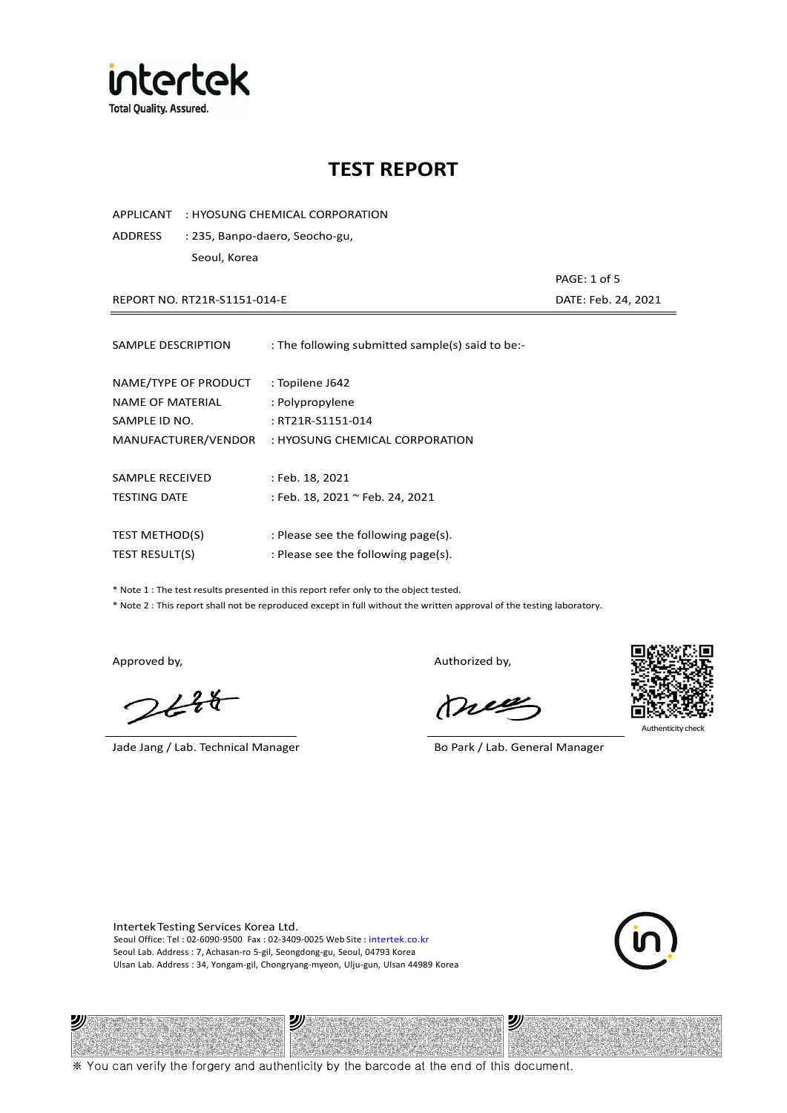

APPLICANT : HYOSUNG CHEMICAL CORPORATION

ADDRESS : 235, Banpo-daero, Seocho-gu, Seoul, Korea

REPORT NO. RT21R-S1151-014-E DATE: Feb. 24, 2021

| SAMPLE DESCRIPTION      | : The following submitted sample(s) said to be:- |
|-------------------------|--------------------------------------------------|
| NAME/TYPE OF PRODUCT    | : Topilene J642                                  |
| <b>NAME OF MATERIAL</b> | : Polypropylene                                  |
| SAMPLE ID NO.           | : RT21R-S1151-014                                |
| MANUFACTURER/VENDOR     | : HYOSUNG CHEMICAL CORPORATION                   |
| SAMPLE RECEIVED         | : Feb. 18, 2021                                  |
| <b>TESTING DATE</b>     | : Feb. 18, 2021 ~ Feb. 24, 2021                  |
| <b>TEST METHOD(S)</b>   | : Please see the following page(s).              |
| <b>TEST RESULT(S)</b>   | : Please see the following page(s).              |

\* Note 1 : The test results presented in this report refer only to the object tested.

\* Note 2 : This report shall not be reproduced except in full without the written approval of the testing laboratory.

沙

 $248$ 

Jade Jang / Lab. Technical Manager Bo Park / Lab. General Manager

Approved by, Authorized by, Authorized by,

mes



Authenticity check

沙

PAGE: 1 of 5

Intertek Testing Services Korea Ltd. Seoul Office: Tel : 02-6090-9500 Fax : 02-3409-0025 Web Site : intertek.co.kr Seoul Lab. Address : 7, Achasan-ro 5-gil, Seongdong-gu, Seoul, 04793 Korea Ulsan Lab. Address : 34, Yongam-gil, Chongryang-myeon, Ulju-gun, Ulsan 44989 Korea

沙

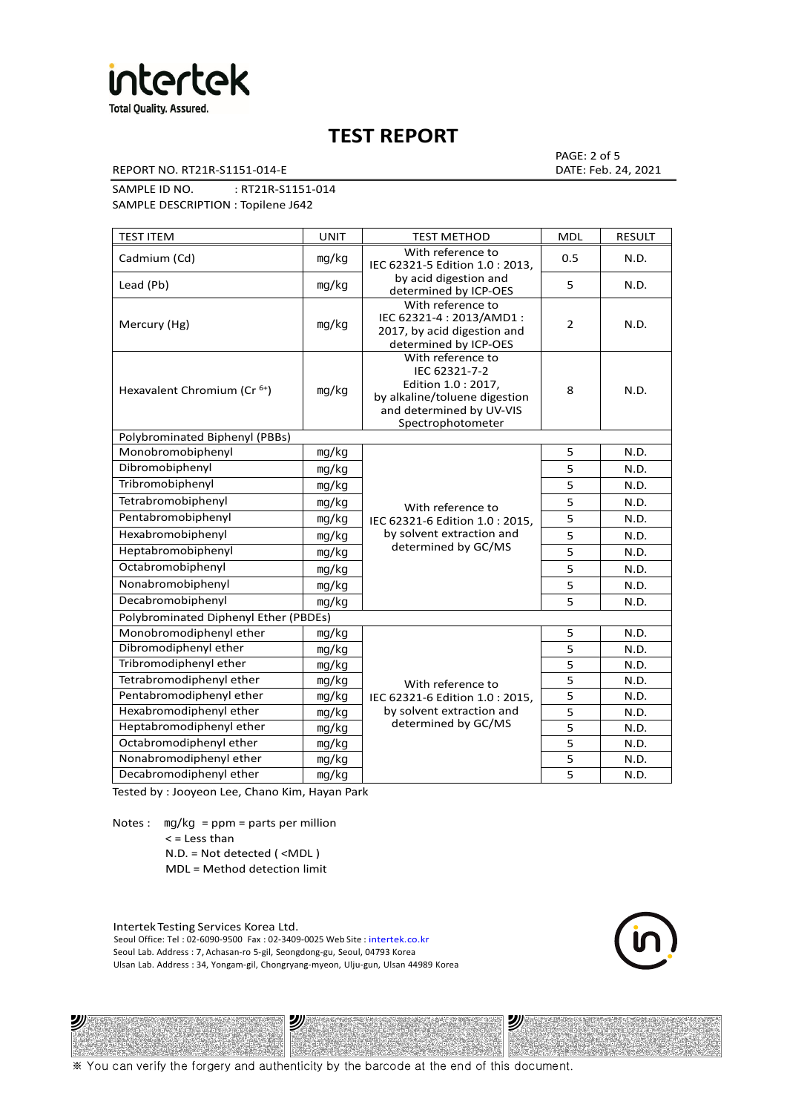

REPORT NO. RT21R-S1151-014-E DATE: Feb. 24, 2021

PAGE: 2 of 5

SAMPLE ID NO. : RT21R-S1151-014

SAMPLE DESCRIPTION : Topilene J642

| <b>TEST ITEM</b>                        | <b>UNIT</b> | <b>TEST METHOD</b>                                                                                                                          | <b>MDL</b>     | <b>RESULT</b> |
|-----------------------------------------|-------------|---------------------------------------------------------------------------------------------------------------------------------------------|----------------|---------------|
| Cadmium (Cd)                            | mg/kg       | With reference to<br>IEC 62321-5 Edition 1.0: 2013.                                                                                         | 0.5            | N.D.          |
| Lead (Pb)                               | mg/kg       | by acid digestion and<br>determined by ICP-OES                                                                                              | 5              | N.D.          |
| Mercury (Hg)                            | mg/kg       | With reference to<br>IEC 62321-4 : 2013/AMD1 :<br>2017, by acid digestion and<br>determined by ICP-OES                                      | $\overline{2}$ | N.D.          |
| Hexavalent Chromium (Cr <sup>6+</sup> ) | mg/kg       | With reference to<br>IEC 62321-7-2<br>Edition 1.0 : 2017,<br>by alkaline/toluene digestion<br>and determined by UV-VIS<br>Spectrophotometer | 8              | N.D.          |
| Polybrominated Biphenyl (PBBs)          |             |                                                                                                                                             |                |               |
| Monobromobiphenyl                       | mg/kg       |                                                                                                                                             | 5              | N.D.          |
| Dibromobiphenyl                         | mg/kg       |                                                                                                                                             | 5              | N.D.          |
| Tribromobiphenyl                        | mg/kg       |                                                                                                                                             | 5              | N.D.          |
| Tetrabromobiphenyl                      | mg/kg       | With reference to                                                                                                                           | 5              | N.D.          |
| Pentabromobiphenyl                      | mg/kg       | IEC 62321-6 Edition 1.0: 2015,                                                                                                              | 5              | N.D.          |
| Hexabromobiphenyl                       | mg/kg       | by solvent extraction and                                                                                                                   | 5              | N.D.          |
| Heptabromobiphenyl                      | mg/kg       | determined by GC/MS                                                                                                                         | 5              | N.D.          |
| Octabromobiphenyl                       | mg/kg       |                                                                                                                                             | 5              | N.D.          |
| Nonabromobiphenyl                       | mg/kg       |                                                                                                                                             | 5              | N.D.          |
| Decabromobiphenyl                       | mg/kg       |                                                                                                                                             | 5              | N.D.          |
| Polybrominated Diphenyl Ether (PBDEs)   |             |                                                                                                                                             |                |               |
| Monobromodiphenyl ether                 | mg/kg       |                                                                                                                                             | 5              | N.D.          |
| Dibromodiphenyl ether                   | mg/kg       |                                                                                                                                             | 5              | N.D.          |
| Tribromodiphenyl ether                  | mg/kg       |                                                                                                                                             | 5              | N.D.          |
| Tetrabromodiphenyl ether                | mg/kg       | With reference to                                                                                                                           | $\overline{5}$ | N.D.          |
| Pentabromodiphenyl ether                | mg/kg       | IEC 62321-6 Edition 1.0: 2015,                                                                                                              | 5              | N.D.          |
| Hexabromodiphenyl ether                 | mg/kg       | by solvent extraction and                                                                                                                   | 5              | N.D.          |
| Heptabromodiphenyl ether                | mg/kg       | determined by GC/MS                                                                                                                         | 5              | N.D.          |
| Octabromodiphenyl ether                 | mg/kg       |                                                                                                                                             | 5              | N.D.          |
| Nonabromodiphenyl ether                 | mg/kg       |                                                                                                                                             | 5              | N.D.          |
| Decabromodiphenyl ether                 | mg/kg       |                                                                                                                                             | 5              | N.D.          |

Tested by : Jooyeon Lee, Chano Kim, Hayan Park

Notes : mg/kg = ppm = parts per million  $<$  = Less than N.D. = Not detected ( <MDL )

沙

MDL = Method detection limit

Intertek Testing Services Korea Ltd. Seoul Office: Tel : 02-6090-9500 Fax : 02-3409-0025 Web Site : intertek.co.kr Seoul Lab. Address : 7, Achasan-ro 5-gil, Seongdong-gu, Seoul, 04793 Korea Ulsan Lab. Address : 34, Yongam-gil, Chongryang-myeon, Ulju-gun, Ulsan 44989 Korea

沙



沙

※ You can verify the forgery and authenticity by the barcode at the end of this document.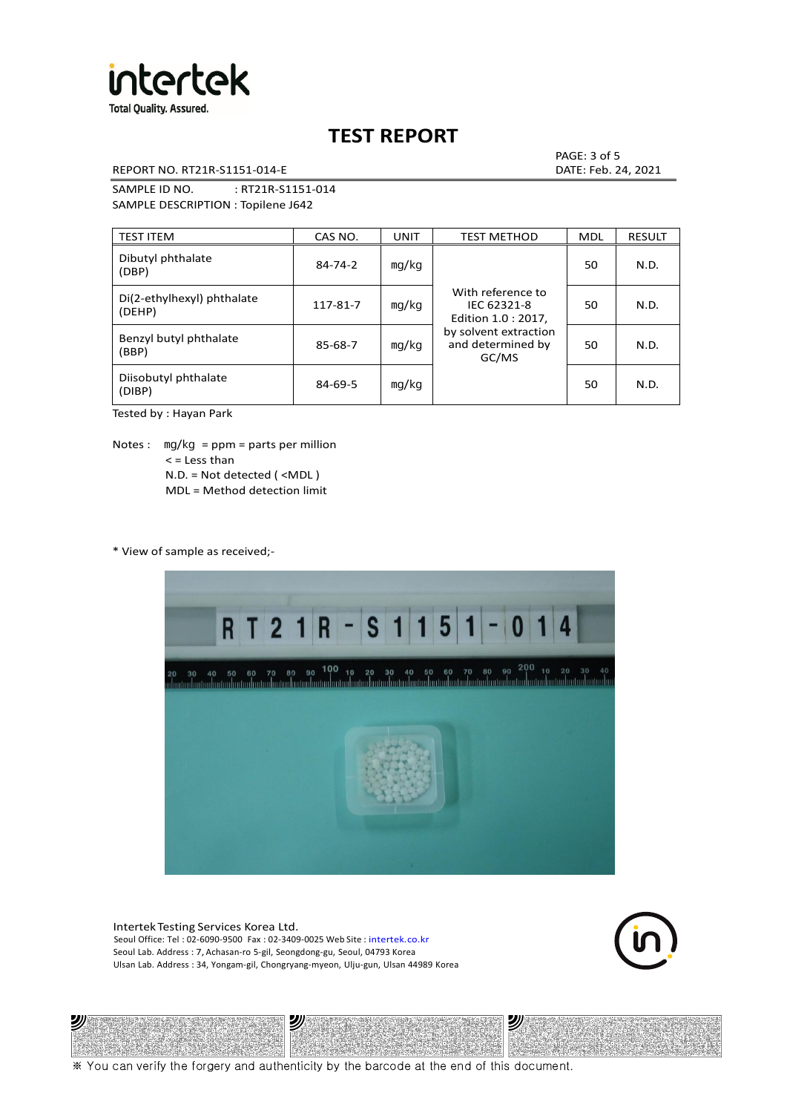

REPORT NO. RT21R-S1151-014-E DATE: Feb. 24, 2021

PAGE: 3 of 5

SAMPLE ID NO. : RT21R-S1151-014 SAMPLE DESCRIPTION : Topilene J642

| <b>TEST ITEM</b>                     | CAS NO.       | <b>UNIT</b> | <b>TEST METHOD</b>                                      | <b>MDL</b> | <b>RESULT</b> |
|--------------------------------------|---------------|-------------|---------------------------------------------------------|------------|---------------|
| Dibutyl phthalate<br>(DBP)           | $84 - 74 - 2$ | mq/kg       | With reference to<br>IEC 62321-8<br>Edition 1.0 : 2017, | 50         | N.D.          |
| Di(2-ethylhexyl) phthalate<br>(DEHP) | 117-81-7      | mg/kg       |                                                         | 50         | N.D.          |
| Benzyl butyl phthalate<br>(BBP)      | 85-68-7       | mg/kg       | by solvent extraction<br>and determined by<br>GC/MS     | 50         | N.D.          |
| Diisobutyl phthalate<br>(DIBP)       | $84 - 69 - 5$ | mg/kg       |                                                         | 50         | N.D.          |

Tested by : Hayan Park

Notes :  $mq/kg = ppm = parts per million$  $<$  = Less than N.D. = Not detected ( <MDL ) MDL = Method detection limit

\* View of sample as received;-

ツリ



Intertek Testing Services Korea Ltd. Seoul Office: Tel : 02-6090-9500 Fax : 02-3409-0025 Web Site : intertek.co.kr Seoul Lab. Address : 7, Achasan-ro 5-gil, Seongdong-gu, Seoul, 04793 Korea Ulsan Lab. Address : 34, Yongam-gil, Chongryang-myeon, Ulju-gun, Ulsan 44989 Korea

沙



沙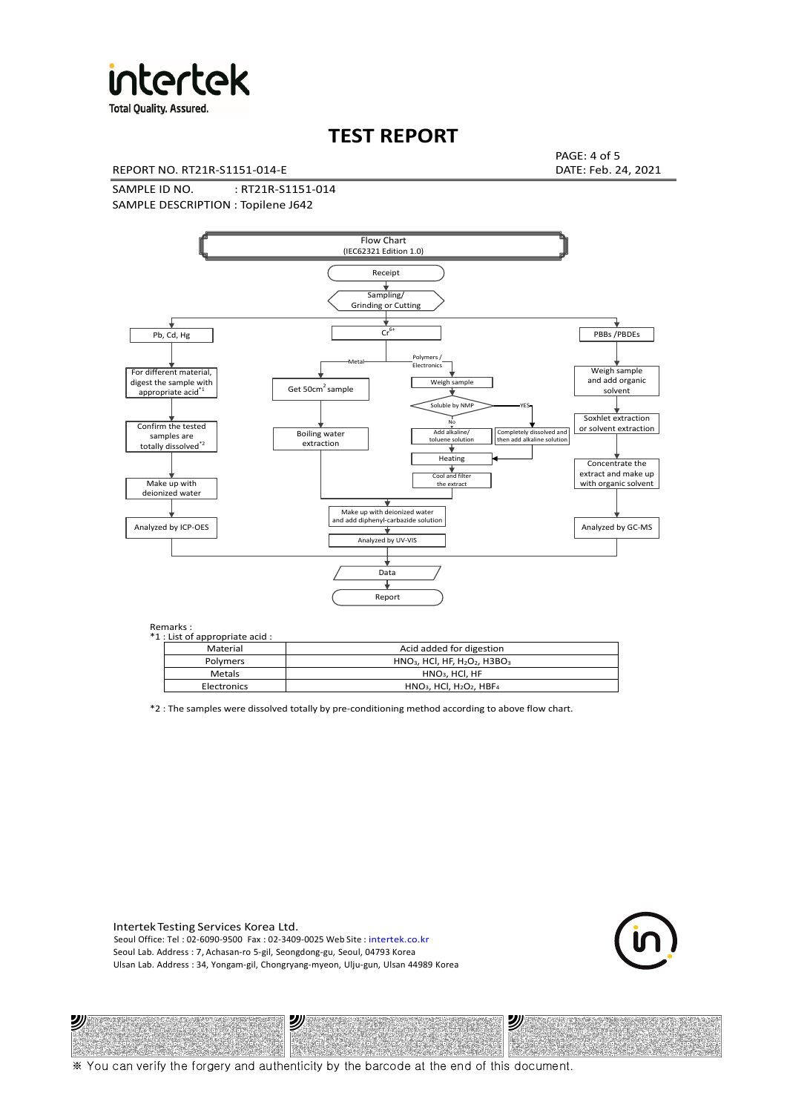

**Total Quality. Assured.** 

# **TEST REPORT**

REPORT NO. RT21R-S1151-014-E DATE: Feb. 24, 2021

PAGE: 4 of 5

SAMPLE ID NO. : RT21R-S1151-014 SAMPLE DESCRIPTION : Topilene J642



### Remarks :

沙

| . | 1 : List of appropriate acid : |                                                                     |
|---|--------------------------------|---------------------------------------------------------------------|
|   | Material                       | Acid added for digestion                                            |
|   | Polymers                       | $HNO3$ , HCl, HF, H <sub>2</sub> O <sub>2</sub> , H3BO <sub>3</sub> |
|   | Metals                         | $HNO3$ , HCl, HF                                                    |
|   | Electronics                    | $HNO3$ , HCl, H <sub>2</sub> O <sub>2</sub> , HBF <sub>4</sub>      |

\*2 : The samples were dissolved totally by pre-conditioning method according to above flow chart.

Intertek Testing Services Korea Ltd. Seoul Office: Tel : 02-6090-9500 Fax : 02-3409-0025 Web Site : intertek.co.kr Seoul Lab. Address : 7, Achasan-ro 5-gil, Seongdong-gu, Seoul, 04793 Korea Ulsan Lab. Address : 34, Yongam-gil, Chongryang-myeon, Ulju-gun, Ulsan 44989 Korea

沙



沙 竆